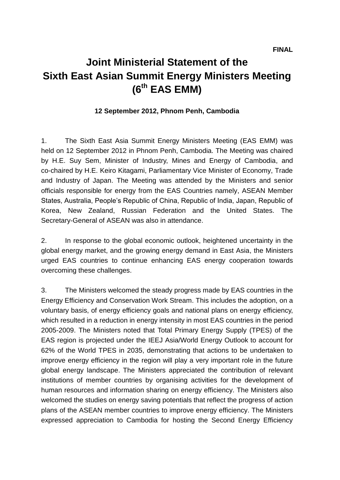## **Joint Ministerial Statement of the Sixth East Asian Summit Energy Ministers Meeting (6th EAS EMM)**

## **12 September 2012, Phnom Penh, Cambodia**

1. The Sixth East Asia Summit Energy Ministers Meeting (EAS EMM) was held on 12 September 2012 in Phnom Penh, Cambodia. The Meeting was chaired by H.E. Suy Sem, Minister of Industry, Mines and Energy of Cambodia, and co-chaired by H.E. Keiro Kitagami, Parliamentary Vice Minister of Economy, Trade and Industry of Japan. The Meeting was attended by the Ministers and senior officials responsible for energy from the EAS Countries namely, ASEAN Member States, Australia, People's Republic of China, Republic of India, Japan, Republic of Korea, New Zealand, Russian Federation and the United States. The Secretary-General of ASEAN was also in attendance.

2. In response to the global economic outlook, heightened uncertainty in the global energy market, and the growing energy demand in East Asia, the Ministers urged EAS countries to continue enhancing EAS energy cooperation towards overcoming these challenges.

3. The Ministers welcomed the steady progress made by EAS countries in the Energy Efficiency and Conservation Work Stream. This includes the adoption, on a voluntary basis, of energy efficiency goals and national plans on energy efficiency, which resulted in a reduction in energy intensity in most EAS countries in the period 2005-2009. The Ministers noted that Total Primary Energy Supply (TPES) of the EAS region is projected under the IEEJ Asia/World Energy Outlook to account for 62% of the World TPES in 2035, demonstrating that actions to be undertaken to improve energy efficiency in the region will play a very important role in the future global energy landscape. The Ministers appreciated the contribution of relevant institutions of member countries by organising activities for the development of human resources and information sharing on energy efficiency. The Ministers also welcomed the studies on energy saving potentials that reflect the progress of action plans of the ASEAN member countries to improve energy efficiency. The Ministers expressed appreciation to Cambodia for hosting the Second Energy Efficiency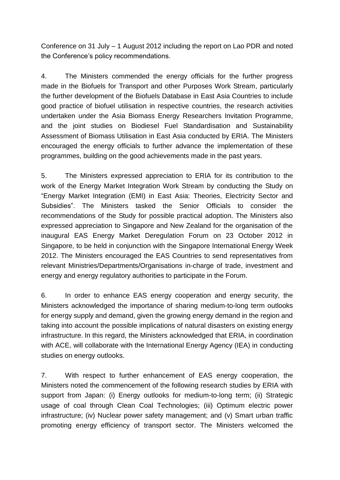Conference on 31 July – 1 August 2012 including the report on Lao PDR and noted the Conference's policy recommendations.

4. The Ministers commended the energy officials for the further progress made in the Biofuels for Transport and other Purposes Work Stream, particularly the further development of the Biofuels Database in East Asia Countries to include good practice of biofuel utilisation in respective countries, the research activities undertaken under the Asia Biomass Energy Researchers Invitation Programme, and the joint studies on Biodiesel Fuel Standardisation and Sustainability Assessment of Biomass Utilisation in East Asia conducted by ERIA. The Ministers encouraged the energy officials to further advance the implementation of these programmes, building on the good achievements made in the past years.

5. The Ministers expressed appreciation to ERIA for its contribution to the work of the Energy Market Integration Work Stream by conducting the Study on "Energy Market Integration (EMI) in East Asia: Theories, Electricity Sector and Subsidies". The Ministers tasked the Senior Officials to consider the recommendations of the Study for possible practical adoption. The Ministers also expressed appreciation to Singapore and New Zealand for the organisation of the inaugural EAS Energy Market Deregulation Forum on 23 October 2012 in Singapore, to be held in conjunction with the Singapore International Energy Week 2012. The Ministers encouraged the EAS Countries to send representatives from relevant Ministries/Departments/Organisations in-charge of trade, investment and energy and energy regulatory authorities to participate in the Forum.

6. In order to enhance EAS energy cooperation and energy security, the Ministers acknowledged the importance of sharing medium-to-long term outlooks for energy supply and demand, given the growing energy demand in the region and taking into account the possible implications of natural disasters on existing energy infrastructure. In this regard, the Ministers acknowledged that ERIA, in coordination with ACE, will collaborate with the International Energy Agency (IEA) in conducting studies on energy outlooks.

7. With respect to further enhancement of EAS energy cooperation, the Ministers noted the commencement of the following research studies by ERIA with support from Japan: (i) Energy outlooks for medium-to-long term; (ii) Strategic usage of coal through Clean Coal Technologies; (iii) Optimum electric power infrastructure; (iv) Nuclear power safety management; and (v) Smart urban traffic promoting energy efficiency of transport sector. The Ministers welcomed the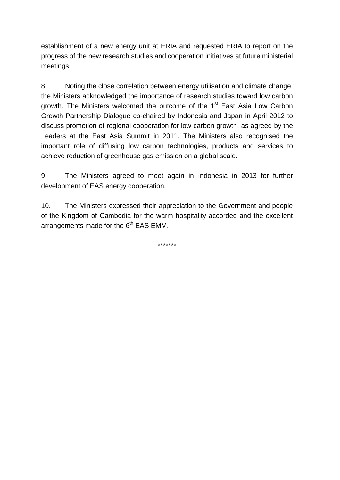establishment of a new energy unit at ERIA and requested ERIA to report on the progress of the new research studies and cooperation initiatives at future ministerial meetings.

8. Noting the close correlation between energy utilisation and climate change, the Ministers acknowledged the importance of research studies toward low carbon growth. The Ministers welcomed the outcome of the 1<sup>st</sup> East Asia Low Carbon Growth Partnership Dialogue co-chaired by Indonesia and Japan in April 2012 to discuss promotion of regional cooperation for low carbon growth, as agreed by the Leaders at the East Asia Summit in 2011. The Ministers also recognised the important role of diffusing low carbon technologies, products and services to achieve reduction of greenhouse gas emission on a global scale.

9. The Ministers agreed to meet again in Indonesia in 2013 for further development of EAS energy cooperation.

10. The Ministers expressed their appreciation to the Government and people of the Kingdom of Cambodia for the warm hospitality accorded and the excellent arrangements made for the  $6<sup>th</sup>$  EAS EMM.

\*\*\*\*\*\*\*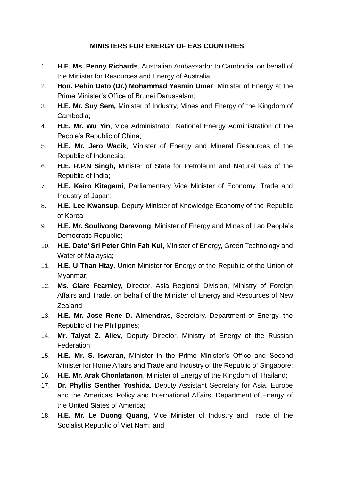## **MINISTERS FOR ENERGY OF EAS COUNTRIES**

- 1. **H.E. Ms. Penny Richards**, Australian Ambassador to Cambodia, on behalf of the Minister for Resources and Energy of Australia;
- 2. **Hon. Pehin Dato (Dr.) Mohammad Yasmin Umar**, Minister of Energy at the Prime Minister's Office of Brunei Darussalam;
- 3. **H.E. Mr. Suy Sem***,* Minister of Industry, Mines and Energy of the Kingdom of Cambodia;
- 4. **H.E. Mr. Wu Yin**, Vice Administrator, National Energy Administration of the People's Republic of China;
- 5. **H.E. Mr. Jero Wacik**, Minister of Energy and Mineral Resources of the Republic of Indonesia;
- 6. **H.E. R.P.N Singh,** Minister of State for Petroleum and Natural Gas of the Republic of India;
- 7. **H.E. Keiro Kitagami**, Parliamentary Vice Minister of Economy, Trade and Industry of Japan;
- 8. **H.E. Lee Kwansup**, Deputy Minister of Knowledge Economy of the Republic of Korea
- 9. **H.E. Mr. Soulivong Daravong**, Minister of Energy and Mines of Lao People's Democratic Republic;
- 10. **H.E. Dato' Sri Peter Chin Fah Kui**, Minister of Energy, Green Technology and Water of Malaysia;
- 11. **H.E. U Than Htay**, Union Minister for Energy of the Republic of the Union of Myanmar;
- 12. **Ms. Clare Fearnley,** Director, Asia Regional Division, Ministry of Foreign Affairs and Trade, on behalf of the Minister of Energy and Resources of New Zealand;
- 13. **H.E. Mr. Jose Rene D. Almendras**, Secretary, Department of Energy, the Republic of the Philippines;
- 14. **Mr. Talyat Z. Aliev**, Deputy Director, Ministry of Energy of the Russian Federation;
- 15. **H.E. Mr. S. Iswaran**, Minister in the Prime Minister's Office and Second Minister for Home Affairs and Trade and Industry of the Republic of Singapore;
- 16. **H.E. Mr. Arak Chonlatanon**, Minister of Energy of the Kingdom of Thailand;
- 17. **Dr. Phyllis Genther Yoshida**, Deputy Assistant Secretary for Asia, Europe and the Americas, Policy and International Affairs, Department of Energy of the United States of America;
- 18. **H.E. Mr. Le Duong Quang**, Vice Minister of Industry and Trade of the Socialist Republic of Viet Nam; and